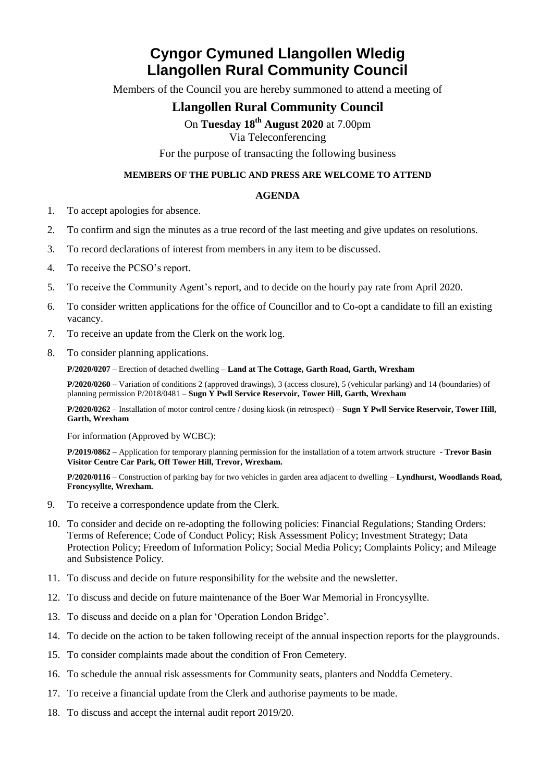## **Cyngor Cymuned Llangollen Wledig Llangollen Rural Community Council**

Members of the Council you are hereby summoned to attend a meeting of

## **Llangollen Rural Community Council**

On **Tuesday 18 th August 2020** at 7.00pm

Via Teleconferencing

For the purpose of transacting the following business

## **MEMBERS OF THE PUBLIC AND PRESS ARE WELCOME TO ATTEND**

## **AGENDA**

- 1. To accept apologies for absence.
- 2. To confirm and sign the minutes as a true record of the last meeting and give updates on resolutions.
- 3. To record declarations of interest from members in any item to be discussed.
- 4. To receive the PCSO's report.
- 5. To receive the Community Agent's report, and to decide on the hourly pay rate from April 2020.
- 6. To consider written applications for the office of Councillor and to Co-opt a candidate to fill an existing vacancy.
- 7. To receive an update from the Clerk on the work log.
- 8. To consider planning applications.

**P/2020/0207** – Erection of detached dwelling – **Land at The Cottage, Garth Road, Garth, Wrexham**

**P/2020/0260 –** Variation of conditions 2 (approved drawings), 3 (access closure), 5 (vehicular parking) and 14 (boundaries) of planning permission P/2018/0481 – **Sugn Y Pwll Service Reservoir, Tower Hill, Garth, Wrexham**

**P/2020/0262** – Installation of motor control centre / dosing kiosk (in retrospect) – **Sugn Y Pwll Service Reservoir, Tower Hill, Garth, Wrexham**

For information (Approved by WCBC):

**P/2019/0862 –** Application for temporary planning permission for the installation of a totem artwork structure **- Trevor Basin Visitor Centre Car Park, Off Tower Hill, Trevor, Wrexham.**

**P/2020/0116** – Construction of parking bay for two vehicles in garden area adjacent to dwelling – **Lyndhurst, Woodlands Road, Froncysyllte, Wrexham.**

- 9. To receive a correspondence update from the Clerk.
- 10. To consider and decide on re-adopting the following policies: Financial Regulations; Standing Orders: Terms of Reference; Code of Conduct Policy; Risk Assessment Policy; Investment Strategy; Data Protection Policy; Freedom of Information Policy; Social Media Policy; Complaints Policy; and Mileage and Subsistence Policy.
- 11. To discuss and decide on future responsibility for the website and the newsletter.
- 12. To discuss and decide on future maintenance of the Boer War Memorial in Froncysyllte.
- 13. To discuss and decide on a plan for 'Operation London Bridge'.
- 14. To decide on the action to be taken following receipt of the annual inspection reports for the playgrounds.
- 15. To consider complaints made about the condition of Fron Cemetery.
- 16. To schedule the annual risk assessments for Community seats, planters and Noddfa Cemetery.
- 17. To receive a financial update from the Clerk and authorise payments to be made.
- 18. To discuss and accept the internal audit report 2019/20.